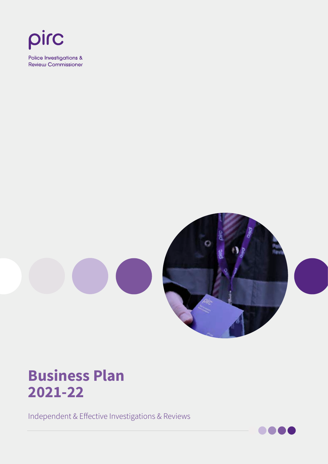



### **Business Plan 2021-22**

Independent & Effective Investigations & Reviews

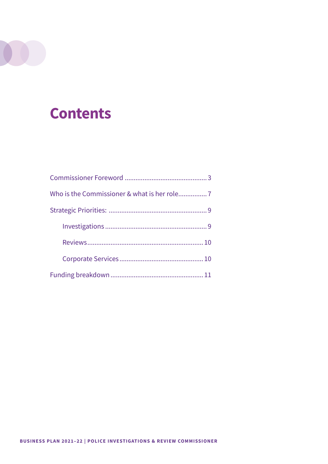# **Contents**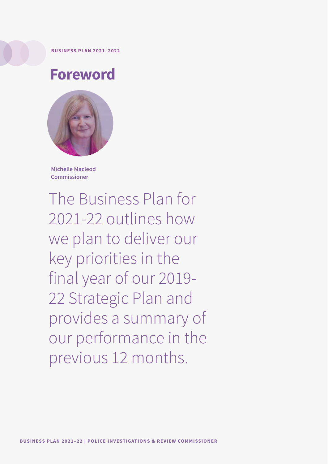#### <span id="page-2-0"></span>**BUSINESS PLAN 2021–2022**

### **Foreword**



**Michelle Macleod Commissioner**

The Business Plan for 2021-22 outlines how we plan to deliver our key priorities in the final year of our 2019- 22 Strategic Plan and provides a summary of our performance in the previous 12 months.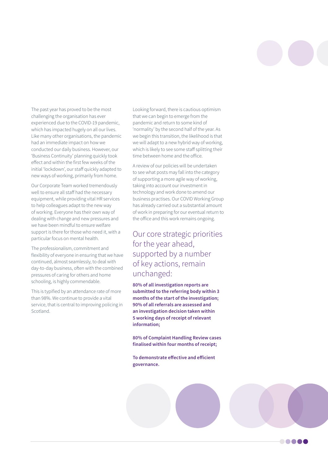**. . . . .** 

The past year has proved to be the most challenging the organisation has ever experienced due to the COVID-19 pandemic, which has impacted hugely on all our lives. Like many other organisations, the pandemic had an immediate impact on how we conducted our daily business. However, our 'Business Continuity' planning quickly took effect and within the first few weeks of the initial 'lockdown', our staff quickly adapted to new ways of working, primarily from home.

Our Corporate Team worked tremendously well to ensure all staff had the necessary equipment, while providing vital HR services to help colleagues adapt to the new way of working. Everyone has their own way of dealing with change and new pressures and we have been mindful to ensure welfare support is there for those who need it, with a particular focus on mental health.

The professionalism, commitment and flexibility of everyone in ensuring that we have continued, almost seamlessly, to deal with day-to-day business, often with the combined pressures of caring for others and home schooling, is highly commendable.

This is typified by an attendance rate of more than 98%. We continue to provide a vital service, that is central to improving policing in Scotland.

Looking forward, there is cautious optimism that we can begin to emerge from the pandemic and return to some kind of 'normality' by the second half of the year. As we begin this transition, the likelihood is that we will adapt to a new hybrid way of working, which is likely to see some staff splitting their time between home and the office.

A review of our policies will be undertaken to see what posts may fall into the category of supporting a more agile way of working, taking into account our investment in technology and work done to amend our business practises. Our COVID Working Group has already carried out a substantial amount of work in preparing for our eventual return to the office and this work remains ongoing.

Our core strategic priorities for the year ahead, supported by a number of key actions, remain unchanged:

**80% of all investigation reports are submitted to the referring body within 3 months of the start of the investigation; 90% of all referrals are assessed and an investigation decision taken within 5 working days of receipt of relevant information;**

**80% of Complaint Handling Review cases finalised within four months of receipt;**

**To demonstrate effective and efficient governance.**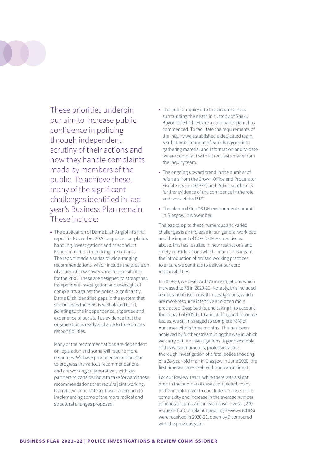

These priorities underpin our aim to increase public confidence in policing through independent scrutiny of their actions and how they handle complaints made by members of the public. To achieve these, many of the significant challenges identified in last year's Business Plan remain. These include:

**•** The publication of Dame Elish Angiolini's final report in November 2020 on police complaints handling, investigations and misconduct issues in relation to policing in Scotland. The report made a series of wide-ranging recommendations, which include the provision of a suite of new powers and responsibilities for the PIRC. These are designed to strengthen independent investigation and oversight of complaints against the police. Significantly, Dame Elish identified gaps in the system that she believes the PIRC is well placed to fill, pointing to the independence, expertise and experience of our staff as evidence that the organisation is ready and able to take on new responsibilities.

Many of the recommendations are dependent on legislation and some will require more resources. We have produced an action plan to progress the various recommendations and are working collaboratively with key partners to consider how to take forward those recommendations that require joint working. Overall, we anticipate a phased approach to implementing some of the more radical and structural changes proposed.

- **•** The public inquiry into the circumstances surrounding the death in custody of Sheku Bayoh, of which we are a core participant, has commenced. To facilitate the requirements of the Inquiry we established a dedicated team. A substantial amount of work has gone into gathering material and information and to date we are compliant with all requests made from the Inquiry team.
- **•** The ongoing upward trend in the number of referrals from the Crown Office and Procurator Fiscal Service (COPFS) and Police Scotland is further evidence of the confidence in the role and work of the PIRC.
- **•** The planned Cop 26 UN environment summit in Glasgow in November.

The backdrop to these numerous and varied challenges is an increase in our general workload and the impact of COVID-19. As mentioned above, this has resulted in new restrictions and safety considerations which, in turn, has meant the introduction of revised working practices to ensure we continue to deliver our core responsibilities.

In 2019-20, we dealt with 76 investigations which increased to 78 in 2020-21. Notably, this included a substantial rise in death investigations, which are more resource intensive and often more protracted. Despite this, and taking into account the impact of COVID-19 and staffing and resource issues, we still managed to complete 78% of our cases within three months. This has been achieved by further streamlining the way in which we carry out our investigations. A good example of this was our timeous, professional and thorough investigation of a fatal police shooting of a 28-year-old man in Glasgow in June 2020, the first time we have dealt with such an incident.

For our Review Team, while there was a slight drop in the number of cases completed, many of them took longer to conclude because of the complexity and increase in the average number of heads of complaint in each case. Overall, 270 requests for Complaint Handling Reviews (CHRs) were received in 2020-21, down by 9 compared with the previous year.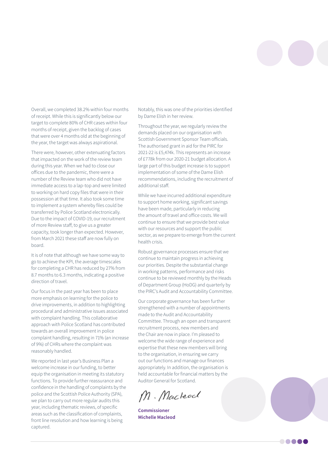

Overall, we completed 38.2% within four months of receipt. While this is significantly below our target to complete 80% of CHR cases within four months of receipt, given the backlog of cases that were over 4 months old at the beginning of the year, the target was always aspirational.

There were, however, other extenuating factors that impacted on the work of the review team during this year. When we had to close our offices due to the pandemic, there were a number of the Review team who did not have immediate access to a lap-top and were limited to working on hard copy files that were in their possession at that time. It also took some time to implement a system whereby files could be transferred by Police Scotland electronically. Due to the impact of COVID-19, our recruitment of more Review staff, to give us a greater capacity, took longer than expected. However, from March 2021 these staff are now fully on board.

It is of note that although we have some way to go to achieve the KPI, the average timescales for completing a CHR has reduced by 27% from 8.7 months to 6.3 months, indicating a positive direction of travel.

Our focus in the past year has been to place more emphasis on learning for the police to drive improvements, in addition to highlighting procedural and administrative issues associated with complaint handling. This collaborative approach with Police Scotland has contributed towards an overall improvement in police complaint handling, resulting in 71% (an increase of 9%) of CHRs where the complaint was reasonably handled.

We reported in last year's Business Plan a welcome increase in our funding, to better equip the organisation in meeting its statutory functions. To provide further reassurance and confidence in the handling of complaints by the police and the Scottish Police Authority (SPA), we plan to carry out more regular audits this year, including thematic reviews, of specific areas such as the classification of complaints, front line resolution and how learning is being captured.

Notably, this was one of the priorities identified by Dame Elish in her review.

Throughout the year, we regularly review the demands placed on our organisation with Scottish Government Sponsor Team officials. The authorised grant in aid for the PIRC for 2021-22 is £5,474k. This represents an increase of £778k from our 2020-21 budget allocation. A large part of this budget increase is to support implementation of some of the Dame Elish recommendations, including the recruitment of additional staff.

While we have incurred additional expenditure to support home working, significant savings have been made, particularly in reducing the amount of travel and office costs. We will continue to ensure that we provide best value with our resources and support the public sector, as we prepare to emerge from the current health crisis.

Robust governance processes ensure that we continue to maintain progress in achieving our priorities. Despite the substantial change in working patterns, performance and risks continue to be reviewed monthly by the Heads of Department Group (HoDG) and quarterly by the PIRC's Audit and Accountability Committee.

Our corporate governance has been further strengthened with a number of appointments made to the Audit and Accountability Committee. Through an open and transparent recruitment process, new members and the Chair are now in place. I'm pleased to welcome the wide range of experience and expertise that these new members will bring to the organisation, in ensuring we carry out our functions and manage our finances appropriately. In addition, the organisation is held accountable for financial matters by the Auditor General for Scotland.

M. Macleod

**Commissioner Michelle Macleod**

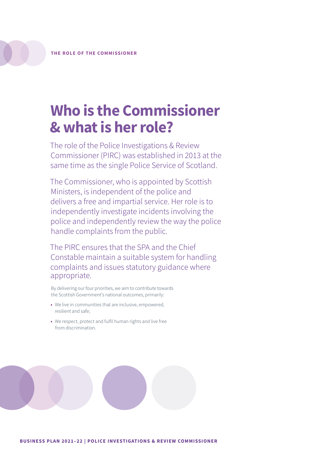## <span id="page-6-0"></span>**Who is the Commissioner & what is her role?**

The role of the Police Investigations & Review Commissioner (PIRC) was established in 2013 at the same time as the single Police Service of Scotland.

The Commissioner, who is appointed by Scottish Ministers, is independent of the police and delivers a free and impartial service. Her role is to independently investigate incidents involving the police and independently review the way the police handle complaints from the public.

The PIRC ensures that the SPA and the Chief Constable maintain a suitable system for handling complaints and issues statutory guidance where appropriate.

By delivering our four priorities, we aim to contribute towards the Scottish Government's national outcomes, primarily:

- **•** We live in communities that are inclusive, empowered, resilient and safe;
- **•** We respect, protect and fulfil human rights and live free from discrimination.

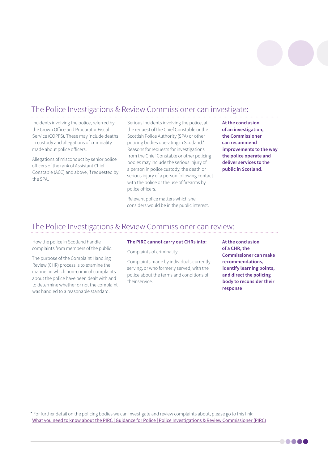

### The Police Investigations & Review Commissioner can investigate:

Incidents involving the police, referred by the Crown Office and Procurator Fiscal Service (COPFS). These may include deaths in custody and allegations of criminality made about police officers.

Allegations of misconduct by senior police officers of the rank of Assistant Chief Constable (ACC) and above, if requested by the SPA.

Serious incidents involving the police, at the request of the Chief Constable or the Scottish Police Authority (SPA) or other policing bodies operating in Scotland.\* Reasons for requests for investigations from the Chief Constable or other policing bodies may include the serious injury of a person in police custody, the death or serious injury of a person following contact with the police or the use of firearms by police officers.

Relevant police matters which she considers would be in the public interest. **At the conclusion of an investigation, the Commissioner can recommend improvements to the way the police operate and deliver services to the public in Scotland.**

### The Police Investigations & Review Commissioner can review:

How the police in Scotland handle complaints from members of the public.

The purpose of the Complaint Handling Review (CHR) process is to examine the manner in which non-criminal complaints about the police have been dealt with and to determine whether or not the complaint was handled to a reasonable standard.

#### **The PIRC cannot carry out CHRs into:**

Complaints of criminality.

Complaints made by individuals currently serving, or who formerly served, with the police about the terms and conditions of their service.

**At the conclusion of a CHR, the Commissioner can make recommendations, identify learning points, and direct the policing body to reconsider their response**

**. . . .** .

\* For further detail on the policing bodies we can investigate and review complaints about, please go to this link: [What you need to know about the PIRC | Guidance for Police | Police Investigations & Review Commissioner \(PIRC\)](https://pirc.scot/for-police/what-you-need-to-know-about-the-pirc/)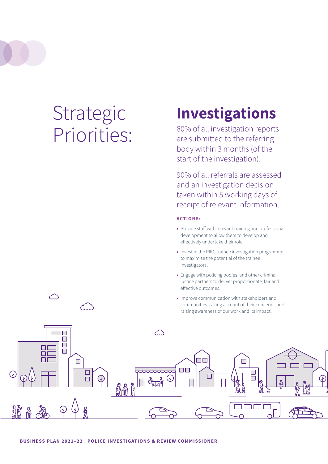# <span id="page-8-0"></span>Strategic Priorities:

# **Investigations**

80% of all investigation reports are submitted to the referring body within 3 months (of the start of the investigation).

90% of all referrals are assessed and an investigation decision taken within 5 working days of receipt of relevant information.

#### **ACTIONS:**

- **•** Provide staff with relevant training and professional development to allow them to develop and effectively undertake their role.
- **•** Invest in the PIRC trainee investigation programme to maximise the potential of the trainee investigators.
- **•** Engage with policing bodies, and other criminal justice partners to deliver proportionate, fair and effective outcomes.
- **•** Improve communication with stakeholders and communities, taking account of their concerns, and raising awareness of our work and its impact.

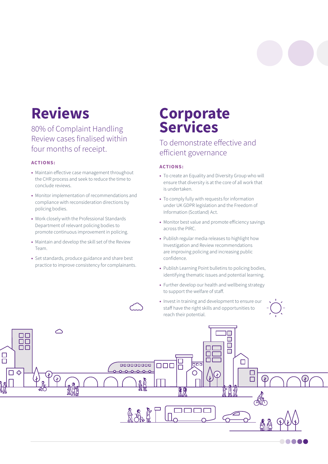### <span id="page-9-0"></span>**Reviews**

80% of Complaint Handling Review cases finalised within four months of receipt.

#### **ACTIONS:**

- **•** Maintain effective case management throughout the CHR process and seek to reduce the time to conclude reviews.
- **•** Monitor implementation of recommendations and compliance with reconsideration directions by policing bodies.
- **•** Work closely with the Professional Standards Department of relevant policing bodies to promote continuous improvement in policing.
- **•** Maintain and develop the skill set of the Review Team.
- **•** Set standards, produce guidance and share best practice to improve consistency for complainants.

### **Corporate Services**

### To demonstrate effective and efficient governance

#### **ACTIONS:**

- **•** To create an Equality and Diversity Group who will ensure that diversity is at the core of all work that is undertaken.
- **•** To comply fully with requests for information under UK GDPR legislation and the Freedom of Information (Scotland) Act.
- **•** Monitor best value and promote efficiency savings across the PIRC.
- **•** Publish regular media releases to highlight how Investigation and Review recommendations are improving policing and increasing public confidence.
- **•** Publish Learning Point bulletins to policing bodies, identifying thematic issues and potential learning.
- **•** Further develop our health and wellbeing strategy to support the welfare of staff.
- **•** Invest in training and development to ensure our staff have the right skills and opportunities to reach their potential.



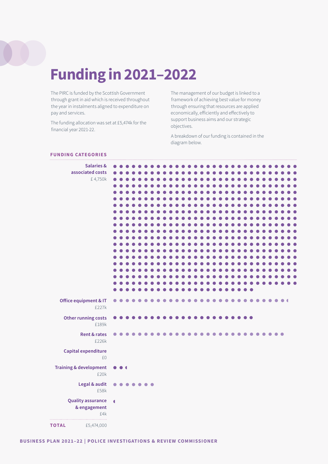## <span id="page-10-0"></span>**Funding in 2021–2022**

The PIRC is funded by the Scottish Government through grant in aid which is received throughout the year in instalments aligned to expenditure on pay and services.

The funding allocation was set at £5,474k for the financial year 2021-22.

The management of our budget is linked to a framework of achieving best value for money through ensuring that resources are applied economically, efficiently and effectively to support business aims and our strategic objectives.

A breakdown of our funding is contained in the diagram below.

#### **FUNDING CATEGORIES**

| <b>Salaries &amp;</b><br>associated costs<br>£4,750k |                      |           |           |           |           |                  |  |  |  |  |  |  |  |           |           |  |  |           |  |  |
|------------------------------------------------------|----------------------|-----------|-----------|-----------|-----------|------------------|--|--|--|--|--|--|--|-----------|-----------|--|--|-----------|--|--|
|                                                      |                      |           |           |           |           |                  |  |  |  |  |  |  |  |           |           |  |  |           |  |  |
|                                                      |                      |           |           |           |           |                  |  |  |  |  |  |  |  |           |           |  |  |           |  |  |
|                                                      |                      |           |           |           |           |                  |  |  |  |  |  |  |  |           |           |  |  |           |  |  |
|                                                      |                      |           |           |           |           |                  |  |  |  |  |  |  |  |           |           |  |  |           |  |  |
|                                                      |                      |           |           |           |           |                  |  |  |  |  |  |  |  |           |           |  |  |           |  |  |
| Office equipment & IT<br>£227k                       | $\bullet$            |           |           |           |           |                  |  |  |  |  |  |  |  | $\bullet$ | $\bullet$ |  |  |           |  |  |
| Other running costs<br>£189k                         | $\bullet$            |           |           |           |           |                  |  |  |  |  |  |  |  |           |           |  |  |           |  |  |
| <b>Rent &amp; rates</b><br>£226k                     | $\bullet$            |           |           |           |           |                  |  |  |  |  |  |  |  |           |           |  |  | $\bullet$ |  |  |
| Capital expenditure<br>£0                            |                      |           |           |           |           |                  |  |  |  |  |  |  |  |           |           |  |  |           |  |  |
| <b>Training &amp; development</b><br>£20k            | $\bullet$            | $\bullet$ |           |           |           |                  |  |  |  |  |  |  |  |           |           |  |  |           |  |  |
| Legal & audit<br>£58k                                | $\bullet$            |           | $\bullet$ | $\bullet$ | $\bullet$ | $\bullet\bullet$ |  |  |  |  |  |  |  |           |           |  |  |           |  |  |
| <b>Quality assurance</b><br>& engagement<br>£4k<br>. | $\overline{\bullet}$ |           |           |           |           |                  |  |  |  |  |  |  |  |           |           |  |  |           |  |  |
| <b>TOTAL</b><br>£5,474,000                           |                      |           |           |           |           |                  |  |  |  |  |  |  |  |           |           |  |  |           |  |  |